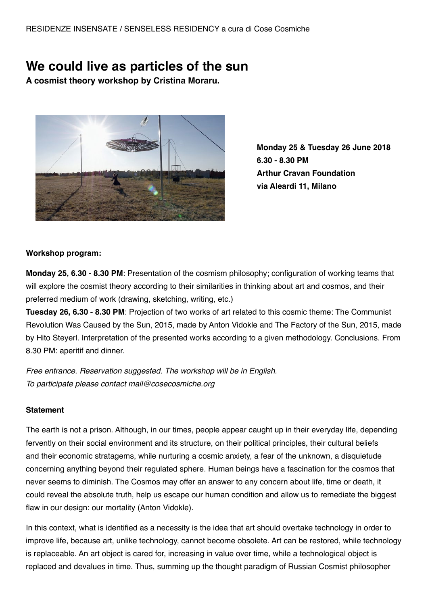# **We could live as particles of the sun**

**A cosmist theory workshop by Cristina Moraru.**



**Monday 25 & Tuesday 26 June 2018 6.30 - 8.30 PM Arthur Cravan Foundation via Aleardi 11, Milano**

### **Workshop program:**

**Monday 25, 6.30 - 8.30 PM**: Presentation of the cosmism philosophy; configuration of working teams that will explore the cosmist theory according to their similarities in thinking about art and cosmos, and their preferred medium of work (drawing, sketching, writing, etc.)

**Tuesday 26, 6.30 - 8.30 PM**: Projection of two works of art related to this cosmic theme: The Communist Revolution Was Caused by the Sun, 2015, made by Anton Vidokle and The Factory of the Sun, 2015, made by Hito Steyerl. Interpretation of the presented works according to a given methodology. Conclusions. From 8.30 PM: aperitif and dinner.

*Free entrance. Reservation suggested. The workshop will be in English. To participate please contact mail@cosecosmiche.org*

# **Statement**

The earth is not a prison. Although, in our times, people appear caught up in their everyday life, depending fervently on their social environment and its structure, on their political principles, their cultural beliefs and their economic stratagems, while nurturing a cosmic anxiety, a fear of the unknown, a disquietude concerning anything beyond their regulated sphere. Human beings have a fascination for the cosmos that never seems to diminish. The Cosmos may offer an answer to any concern about life, time or death, it could reveal the absolute truth, help us escape our human condition and allow us to remediate the biggest flaw in our design: our mortality (Anton Vidokle).

In this context, what is identified as a necessity is the idea that art should overtake technology in order to improve life, because art, unlike technology, cannot become obsolete. Art can be restored, while technology is replaceable. An art object is cared for, increasing in value over time, while a technological object is replaced and devalues in time. Thus, summing up the thought paradigm of Russian Cosmist philosopher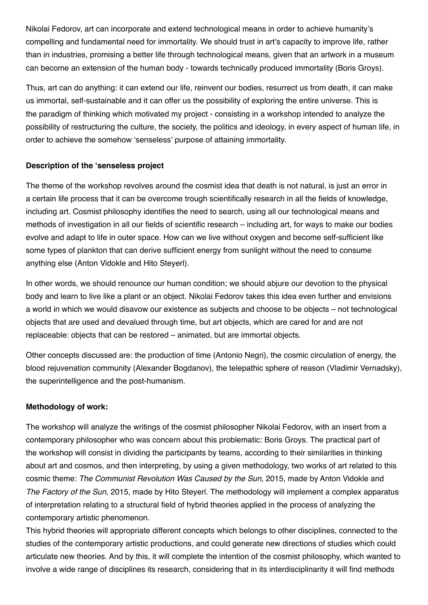Nikolai Fedorov, art can incorporate and extend technological means in order to achieve humanity's compelling and fundamental need for immortality. We should trust in art's capacity to improve life, rather than in industries, promising a better life through technological means, given that an artwork in a museum can become an extension of the human body - towards technically produced immortality (Boris Groys).

Thus, art can do anything: it can extend our life, reinvent our bodies, resurrect us from death, it can make us immortal, self-sustainable and it can offer us the possibility of exploring the entire universe. This is the paradigm of thinking which motivated my project - consisting in a workshop intended to analyze the possibility of restructuring the culture, the society, the politics and ideology, in every aspect of human life, in order to achieve the somehow 'senseless' purpose of attaining immortality.

### **Description of the 'senseless project**

The theme of the workshop revolves around the cosmist idea that death is not natural, is just an error in a certain life process that it can be overcome trough scientifically research in all the fields of knowledge, including art. Cosmist philosophy identifies the need to search, using all our technological means and methods of investigation in all our fields of scientific research – including art, for ways to make our bodies evolve and adapt to life in outer space. How can we live without oxygen and become self-sufficient like some types of plankton that can derive sufficient energy from sunlight without the need to consume anything else (Anton Vidokle and Hito Steyerl).

In other words, we should renounce our human condition; we should abjure our devotion to the physical body and learn to live like a plant or an object. Nikolai Fedorov takes this idea even further and envisions a world in which we would disavow our existence as subjects and choose to be objects – not technological objects that are used and devalued through time, but art objects, which are cared for and are not replaceable: objects that can be restored – animated, but are immortal objects.

Other concepts discussed are: the production of time (Antonio Negri), the cosmic circulation of energy, the blood rejuvenation community (Alexander Bogdanov), the telepathic sphere of reason (Vladimir Vernadsky), the superintelligence and the post-humanism.

#### **Methodology of work:**

The workshop will analyze the writings of the cosmist philosopher Nikolai Fedorov, with an insert from a contemporary philosopher who was concern about this problematic: Boris Groys. The practical part of the workshop will consist in dividing the participants by teams, according to their similarities in thinking about art and cosmos, and then interpreting, by using a given methodology, two works of art related to this cosmic theme: *The Communist Revolution Was Caused by the Sun*, 2015, made by Anton Vidokle and *The Factory of the Sun*, 2015, made by Hito Steyerl. The methodology will implement a complex apparatus of interpretation relating to a structural field of hybrid theories applied in the process of analyzing the contemporary artistic phenomenon.

This hybrid theories will appropriate different concepts which belongs to other disciplines, connected to the studies of the contemporary artistic productions, and could generate new directions of studies which could articulate new theories. And by this, it will complete the intention of the cosmist philosophy, which wanted to involve a wide range of disciplines its research, considering that in its interdisciplinarity it will find methods